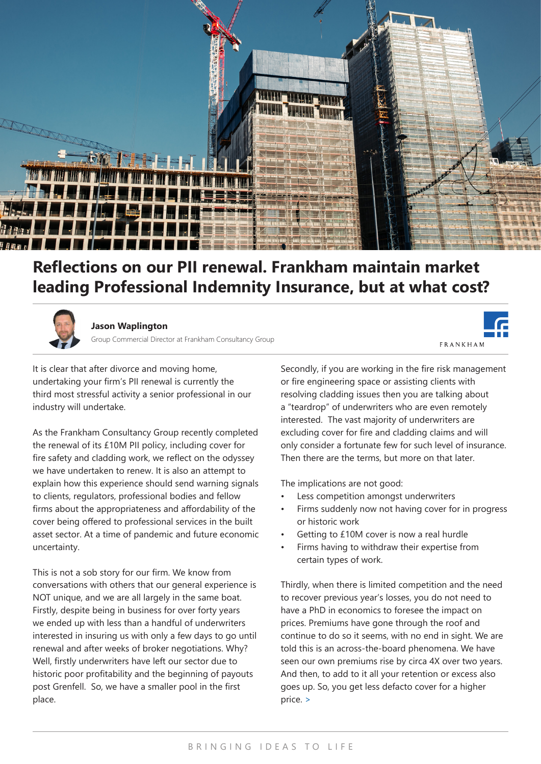

## **Reflections on our PII renewal. Frankham maintain market leading Professional Indemnity Insurance, but at what cost?**



## **Jason Waplington**

Group Commercial Director at Frankham Consultancy Group

**FRANKHAM** 

It is clear that after divorce and moving home, undertaking your firm's PII renewal is currently the third most stressful activity a senior professional in our industry will undertake.

As the Frankham Consultancy Group recently completed the renewal of its £10M PII policy, including cover for fire safety and cladding work, we reflect on the odyssey we have undertaken to renew. It is also an attempt to explain how this experience should send warning signals to clients, regulators, professional bodies and fellow firms about the appropriateness and affordability of the cover being offered to professional services in the built asset sector. At a time of pandemic and future economic uncertainty.

This is not a sob story for our firm. We know from conversations with others that our general experience is NOT unique, and we are all largely in the same boat. Firstly, despite being in business for over forty years we ended up with less than a handful of underwriters interested in insuring us with only a few days to go until renewal and after weeks of broker negotiations. Why? Well, firstly underwriters have left our sector due to historic poor profitability and the beginning of payouts post Grenfell. So, we have a smaller pool in the first place.

Secondly, if you are working in the fire risk management or fire engineering space or assisting clients with resolving cladding issues then you are talking about a "teardrop" of underwriters who are even remotely interested. The vast majority of underwriters are excluding cover for fire and cladding claims and will only consider a fortunate few for such level of insurance. Then there are the terms, but more on that later.

The implications are not good:

- Less competition amongst underwriters
- Firms suddenly now not having cover for in progress or historic work
- Getting to £10M cover is now a real hurdle
- Firms having to withdraw their expertise from certain types of work.

Thirdly, when there is limited competition and the need to recover previous year's losses, you do not need to have a PhD in economics to foresee the impact on prices. Premiums have gone through the roof and continue to do so it seems, with no end in sight. We are told this is an across-the-board phenomena. We have seen our own premiums rise by circa 4X over two years. And then, to add to it all your retention or excess also goes up. So, you get less defacto cover for a higher price. >